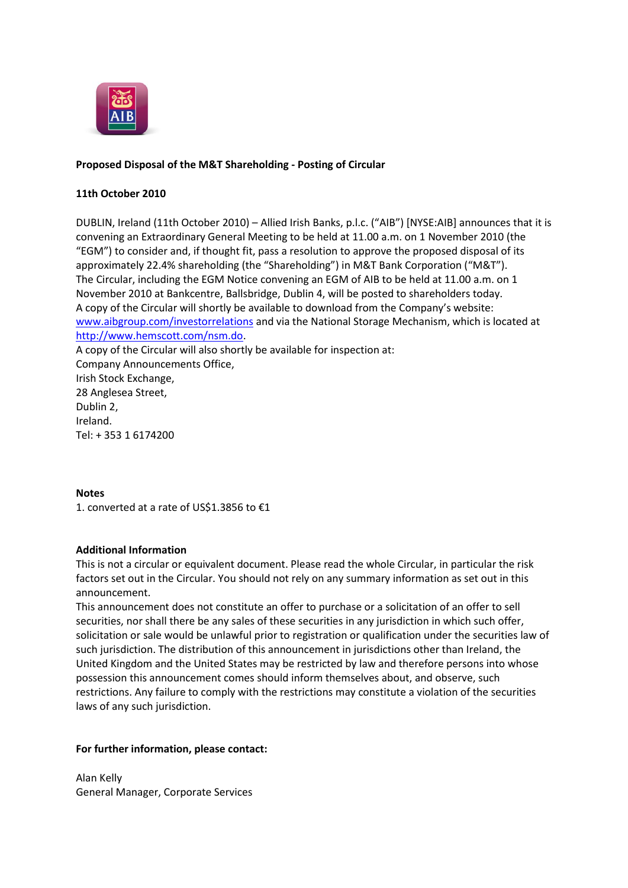

# **Proposed Disposal of the M&T Shareholding - Posting of Circular**

### **11th October 2010**

DUBLIN, Ireland (11th October 2010) – Allied Irish Banks, p.l.c. ("AIB") [NYSE:AIB] announces that it is convening an Extraordinary General Meeting to be held at 11.00 a.m. on 1 November 2010 (the "EGM") to consider and, if thought fit, pass a resolution to approve the proposed disposal of its approximately 22.4% shareholding (the "Shareholding") in M&T Bank Corporation ("M&T"). The Circular, including the EGM Notice convening an EGM of AIB to be held at 11.00 a.m. on 1 November 2010 at Bankcentre, Ballsbridge, Dublin 4, will be posted to shareholders today. A copy of the Circular will shortly be available to download from the Company's website: [www.aibgroup.com/investorrelations](http://www.aibgroup.com/investorrelations) and via the National Storage Mechanism, which is located at [http://www.hemscott.com/nsm.do.](http://www.hemscott.com/nsm.do)

A copy of the Circular will also shortly be available for inspection at: Company Announcements Office, Irish Stock Exchange, 28 Anglesea Street, Dublin 2, Ireland. Tel: + 353 1 6174200

#### **Notes**

1. converted at a rate of US\$1.3856 to €1

## **Additional Information**

This is not a circular or equivalent document. Please read the whole Circular, in particular the risk factors set out in the Circular. You should not rely on any summary information as set out in this announcement.

This announcement does not constitute an offer to purchase or a solicitation of an offer to sell securities, nor shall there be any sales of these securities in any jurisdiction in which such offer, solicitation or sale would be unlawful prior to registration or qualification under the securities law of such jurisdiction. The distribution of this announcement in jurisdictions other than Ireland, the United Kingdom and the United States may be restricted by law and therefore persons into whose possession this announcement comes should inform themselves about, and observe, such restrictions. Any failure to comply with the restrictions may constitute a violation of the securities laws of any such jurisdiction.

## **For further information, please contact:**

Alan Kelly General Manager, Corporate Services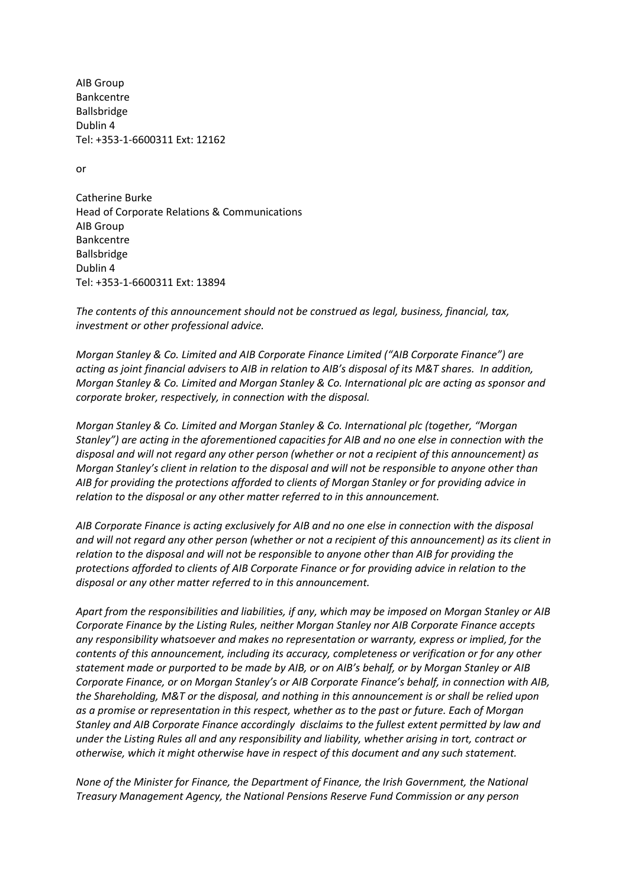AIB Group Bankcentre Ballsbridge Dublin 4 Tel: +353-1-6600311 Ext: 12162

or

Catherine Burke Head of Corporate Relations & Communications AIB Group Bankcentre Ballsbridge Dublin 4 Tel: +353-1-6600311 Ext: 13894

*The contents of this announcement should not be construed as legal, business, financial, tax, investment or other professional advice.*

*Morgan Stanley & Co. Limited and AIB Corporate Finance Limited ("AIB Corporate Finance") are acting as joint financial advisers to AIB in relation to AIB's disposal of its M&T shares. In addition, Morgan Stanley & Co. Limited and Morgan Stanley & Co. International plc are acting as sponsor and corporate broker, respectively, in connection with the disposal.*

*Morgan Stanley & Co. Limited and Morgan Stanley & Co. International plc (together, "Morgan Stanley") are acting in the aforementioned capacities for AIB and no one else in connection with the disposal and will not regard any other person (whether or not a recipient of this announcement) as Morgan Stanley's client in relation to the disposal and will not be responsible to anyone other than AIB for providing the protections afforded to clients of Morgan Stanley or for providing advice in relation to the disposal or any other matter referred to in this announcement.*

*AIB Corporate Finance is acting exclusively for AIB and no one else in connection with the disposal and will not regard any other person (whether or not a recipient of this announcement) as its client in relation to the disposal and will not be responsible to anyone other than AIB for providing the protections afforded to clients of AIB Corporate Finance or for providing advice in relation to the disposal or any other matter referred to in this announcement.*

*Apart from the responsibilities and liabilities, if any, which may be imposed on Morgan Stanley or AIB Corporate Finance by the Listing Rules, neither Morgan Stanley nor AIB Corporate Finance accepts any responsibility whatsoever and makes no representation or warranty, express or implied, for the contents of this announcement, including its accuracy, completeness or verification or for any other statement made or purported to be made by AIB, or on AIB's behalf, or by Morgan Stanley or AIB Corporate Finance, or on Morgan Stanley's or AIB Corporate Finance's behalf, in connection with AIB, the Shareholding, M&T or the disposal, and nothing in this announcement is or shall be relied upon as a promise or representation in this respect, whether as to the past or future. Each of Morgan Stanley and AIB Corporate Finance accordingly disclaims to the fullest extent permitted by law and under the Listing Rules all and any responsibility and liability, whether arising in tort, contract or otherwise, which it might otherwise have in respect of this document and any such statement.*

*None of the Minister for Finance, the Department of Finance, the Irish Government, the National Treasury Management Agency, the National Pensions Reserve Fund Commission or any person*